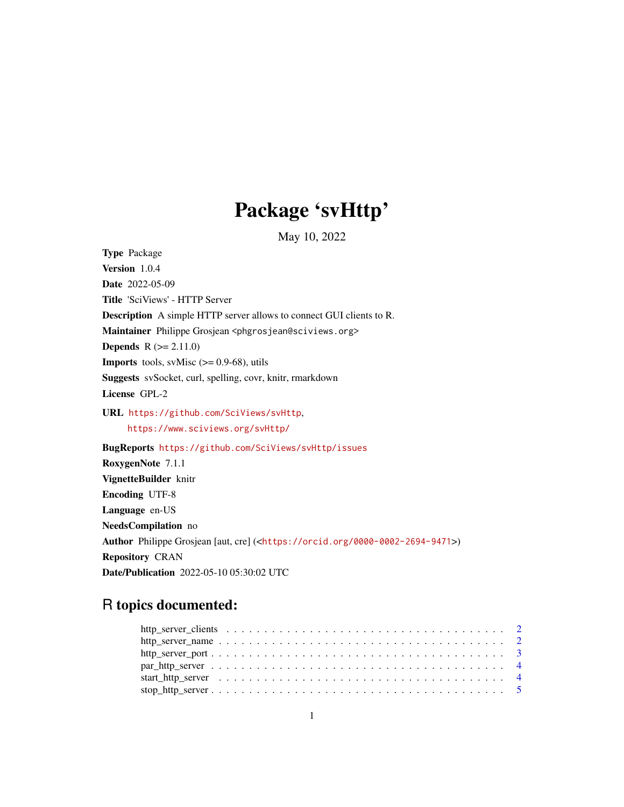# Package 'svHttp'

May 10, 2022

<span id="page-0-0"></span>Type Package Version 1.0.4 Date 2022-05-09 Title 'SciViews' - HTTP Server Description A simple HTTP server allows to connect GUI clients to R. Maintainer Philippe Grosjean <phgrosjean@sciviews.org> **Depends**  $R (= 2.11.0)$ **Imports** tools, svMisc  $(>= 0.9-68)$ , utils Suggests svSocket, curl, spelling, covr, knitr, rmarkdown License GPL-2 URL <https://github.com/SciViews/svHttp>, <https://www.sciviews.org/svHttp/> BugReports <https://github.com/SciViews/svHttp/issues> RoxygenNote 7.1.1 VignetteBuilder knitr Encoding UTF-8 Language en-US NeedsCompilation no Author Philippe Grosjean [aut, cre] (<<https://orcid.org/0000-0002-2694-9471>>) Repository CRAN Date/Publication 2022-05-10 05:30:02 UTC

## R topics documented: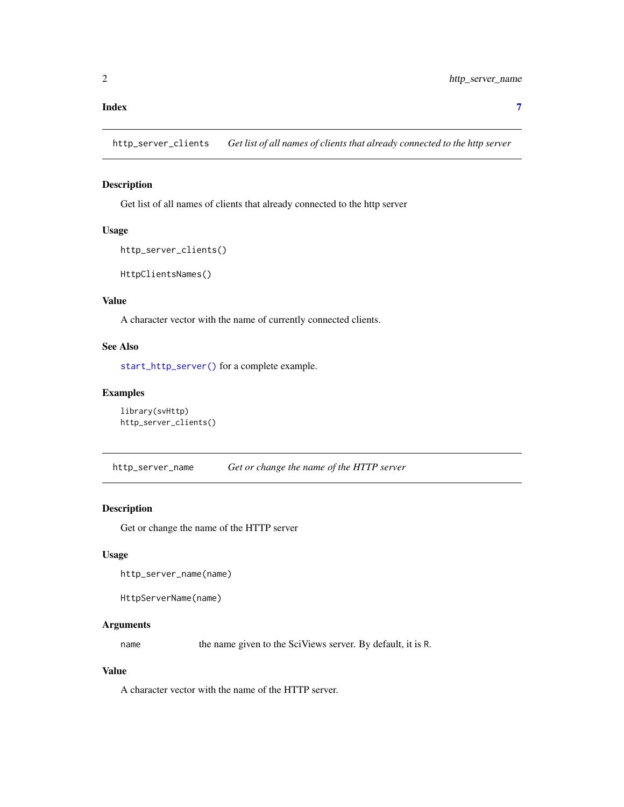#### <span id="page-1-0"></span>**Index** [7](#page-6-0) **7**

http\_server\_clients *Get list of all names of clients that already connected to the http server*

### Description

Get list of all names of clients that already connected to the http server

#### Usage

```
http_server_clients()
```
HttpClientsNames()

#### Value

A character vector with the name of currently connected clients.

#### See Also

[start\\_http\\_server\(\)](#page-3-1) for a complete example.

#### Examples

```
library(svHttp)
http_server_clients()
```
http\_server\_name *Get or change the name of the HTTP server*

#### Description

Get or change the name of the HTTP server

#### Usage

```
http_server_name(name)
```
HttpServerName(name)

#### Arguments

name the name given to the SciViews server. By default, it is R.

#### Value

A character vector with the name of the HTTP server.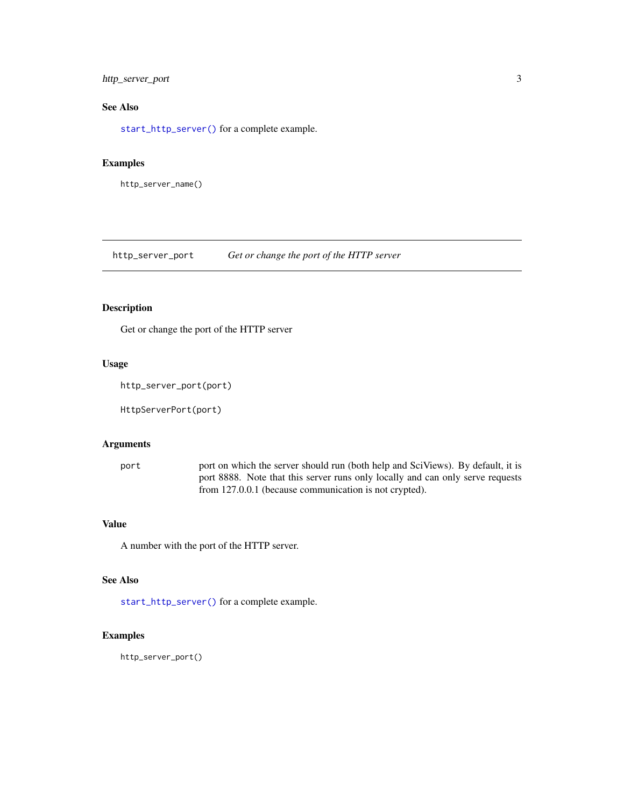#### <span id="page-2-0"></span>http\_server\_port 3

### See Also

[start\\_http\\_server\(\)](#page-3-1) for a complete example.

#### Examples

http\_server\_name()

http\_server\_port *Get or change the port of the HTTP server*

#### Description

Get or change the port of the HTTP server

#### Usage

```
http_server_port(port)
```
HttpServerPort(port)

#### Arguments

port port on which the server should run (both help and SciViews). By default, it is port 8888. Note that this server runs only locally and can only serve requests from 127.0.0.1 (because communication is not crypted).

#### Value

A number with the port of the HTTP server.

#### See Also

[start\\_http\\_server\(\)](#page-3-1) for a complete example.

#### Examples

http\_server\_port()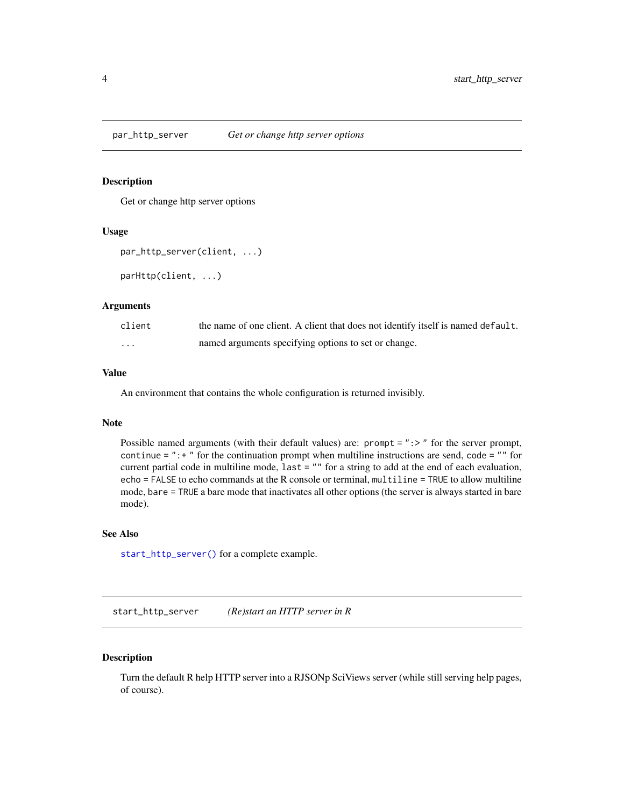<span id="page-3-0"></span>

#### Description

Get or change http server options

#### Usage

```
par_http_server(client, ...)
```
parHttp(client, ...)

#### Arguments

| client   | the name of one client. A client that does not identify itself is named default. |
|----------|----------------------------------------------------------------------------------|
| $\cdots$ | named arguments specifying options to set or change.                             |

#### Value

An environment that contains the whole configuration is returned invisibly.

#### Note

Possible named arguments (with their default values) are: prompt = ":>" for the server prompt, continue  $=$  ":  $+$  " for the continuation prompt when multiline instructions are send, code  $=$  "" for current partial code in multiline mode, last = "" for a string to add at the end of each evaluation, echo = FALSE to echo commands at the R console or terminal, multiline = TRUE to allow multiline mode, bare = TRUE a bare mode that inactivates all other options (the server is always started in bare mode).

#### See Also

[start\\_http\\_server\(\)](#page-3-1) for a complete example.

<span id="page-3-1"></span>start\_http\_server *(Re)start an HTTP server in R*

#### Description

Turn the default R help HTTP server into a RJSONp SciViews server (while still serving help pages, of course).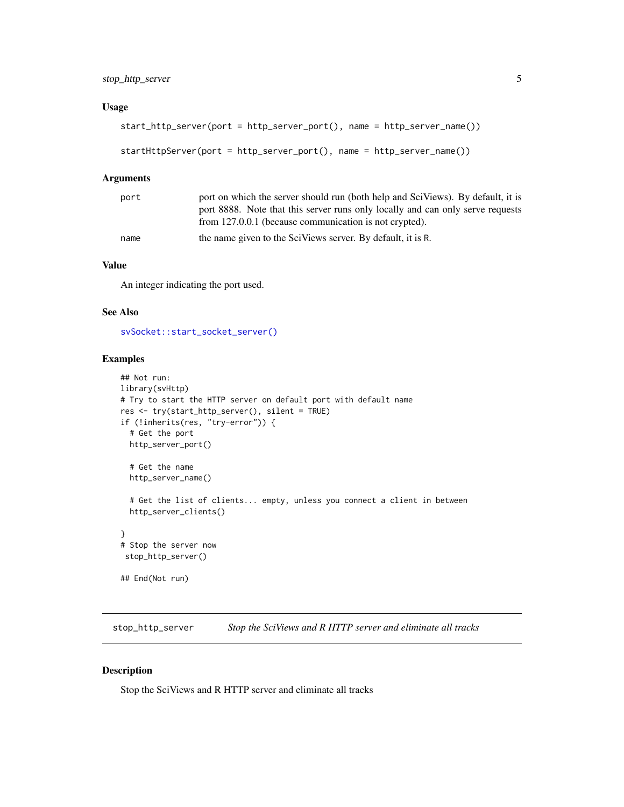#### <span id="page-4-0"></span>Usage

```
start_http_server(port = http_server_port(), name = http_server_name())
```

```
startHttpServer(port = http_server_port(), name = http_server_name())
```
#### Arguments

| port | port on which the server should run (both help and SciViews). By default, it is |
|------|---------------------------------------------------------------------------------|
|      | port 8888. Note that this server runs only locally and can only serve requests  |
|      | from 127.0.0.1 (because communication is not crypted).                          |
| name | the name given to the SciViews server. By default, it is R.                     |

#### Value

An integer indicating the port used.

#### See Also

[svSocket::start\\_socket\\_server\(\)](#page-0-0)

#### Examples

```
## Not run:
library(svHttp)
# Try to start the HTTP server on default port with default name
res <- try(start_http_server(), silent = TRUE)
if (!inherits(res, "try-error")) {
  # Get the port
  http_server_port()
  # Get the name
  http_server_name()
  # Get the list of clients... empty, unless you connect a client in between
  http_server_clients()
}
# Stop the server now
 stop_http_server()
## End(Not run)
```
stop\_http\_server *Stop the SciViews and R HTTP server and eliminate all tracks*

#### Description

Stop the SciViews and R HTTP server and eliminate all tracks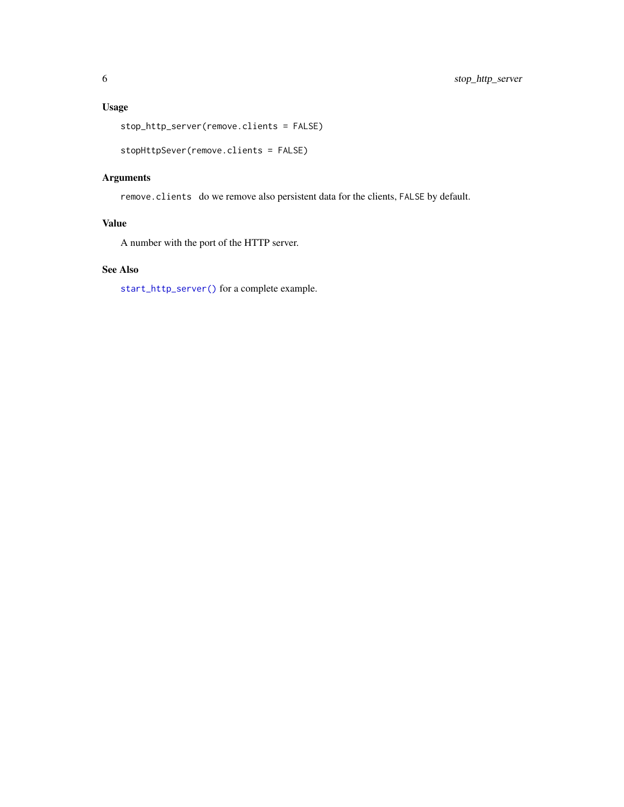### <span id="page-5-0"></span>Usage

stop\_http\_server(remove.clients = FALSE)

```
stopHttpSever(remove.clients = FALSE)
```
#### Arguments

remove.clients do we remove also persistent data for the clients, FALSE by default.

#### Value

A number with the port of the HTTP server.

#### See Also

[start\\_http\\_server\(\)](#page-3-1) for a complete example.